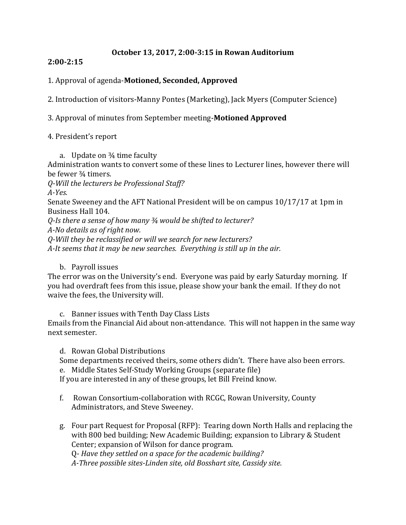#### **October 13, 2017, 2:00-3:15 in Rowan Auditorium**

#### **2:00-2:15**

### 1. Approval of agenda-**Motioned, Seconded, Approved**

2. Introduction of visitors-Manny Pontes (Marketing), Jack Myers (Computer Science)

3. Approval of minutes from September meeting-**Motioned Approved**

#### 4. President's report

a. Update on  $\frac{3}{4}$  time faculty Administration wants to convert some of these lines to Lecturer lines, however there will be fewer ¾ timers. *Q-Will the lecturers be Professional Staff? A-Yes.* Senate Sweeney and the AFT National President will be on campus 10/17/17 at 1pm in Business Hall 104. *Q-Is there a sense of how many ¾ would be shifted to lecturer? A-No details as of right now. Q-Will they be reclassified or will we search for new lecturers? A-It seems that it may be new searches. Everything is still up in the air.*

b. Payroll issues

The error was on the University's end. Everyone was paid by early Saturday morning. If you had overdraft fees from this issue, please show your bank the email. If they do not waive the fees, the University will.

c. Banner issues with Tenth Day Class Lists

Emails from the Financial Aid about non-attendance. This will not happen in the same way next semester.

d. Rowan Global Distributions

Some departments received theirs, some others didn't. There have also been errors. e. Middle States Self-Study Working Groups (separate file)

If you are interested in any of these groups, let Bill Freind know.

- f. Rowan Consortium-collaboration with RCGC, Rowan University, County Administrators, and Steve Sweeney.
- g. Four part Request for Proposal (RFP): Tearing down North Halls and replacing the with 800 bed building; New Academic Building; expansion to Library & Student Center; expansion of Wilson for dance program. Q*- Have they settled on a space for the academic building?*

*A-Three possible sites-Linden site, old Bosshart site, Cassidy site.*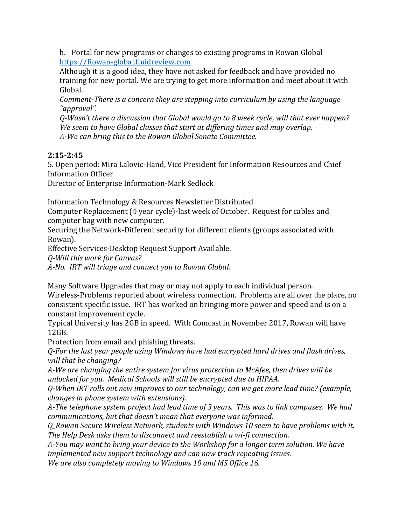h. Portal for new programs or changes to existing programs in Rowan Global [https://Rowan-global.fluidreview.com](https://rowan-global.fluidreview.com/)

Although it is a good idea, they have not asked for feedback and have provided no training for new portal. We are trying to get more information and meet about it with Global.

*Comment-There is a concern they are stepping into curriculum by using the language "approval".*

*Q-Wasn't there a discussion that Global would go to 8 week cycle, will that ever happen? We seem to have Global classes that start at differing times and may overlap. A-We can bring this to the Rowan Global Senate Committee.* 

## **2:15-2:45**

5. Open period: Mira Lalovic-Hand, Vice President for Information Resources and Chief Information Officer

Director of Enterprise Information-Mark Sedlock

Information Technology & Resources Newsletter Distributed

Computer Replacement (4 year cycle)-last week of October. Request for cables and computer bag with new computer.

Securing the Network-Different security for different clients (groups associated with Rowan).

Effective Services-Desktop Request Support Available.

*Q-Will this work for Canvas?*

*A-No. IRT will triage and connect you to Rowan Global.*

Many Software Upgrades that may or may not apply to each individual person. Wireless-Problems reported about wireless connection. Problems are all over the place, no consistent specific issue. IRT has worked on bringing more power and speed and is on a constant improvement cycle.

Typical University has 2GB in speed. With Comcast in November 2017, Rowan will have 12GB.

Protection from email and phishing threats.

*Q-For the last year people using Windows have had encrypted hard drives and flash drives, will that be changing?*

*A-We are changing the entire system for virus protection to McAfee, then drives will be unlocked for you. Medical Schools will still be encrypted due to HIPAA.*

*Q-When IRT rolls out new improves to our technology, can we get more lead time? (example, changes in phone system with extensions).*

*A-The telephone system project had lead time of 3 years. This was to link campuses. We had communications, but that doesn't mean that everyone was informed.* 

*Q\_Rowan Secure Wireless Network, students with Windows 10 seem to have problems with it. The Help Desk asks them to disconnect and reestablish a wi-fi connection.*

*A-You may want to bring your device to the Workshop for a longer term solution. We have implemented new support technology and can now track repeating issues.*

*We are also completely moving to Windows 10 and MS Office 16.*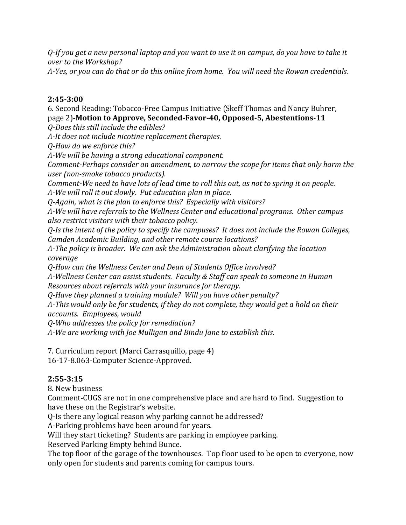*Q-If you get a new personal laptop and you want to use it on campus, do you have to take it over to the Workshop?*

*A-Yes, or you can do that or do this online from home. You will need the Rowan credentials.*

## **2:45-3:00**

6. Second Reading: Tobacco-Free Campus Initiative (Skeff Thomas and Nancy Buhrer, page 2)-**Motion to Approve, Seconded-Favor-40, Opposed-5, Abestentions-11** *Q-Does this still include the edibles?*

*A-It does not include nicotine replacement therapies.*

*Q-How do we enforce this?*

*A-We will be having a strong educational component.*

*Comment-Perhaps consider an amendment, to narrow the scope for items that only harm the user (non-smoke tobacco products).*

*Comment-We need to have lots of lead time to roll this out, as not to spring it on people. A-We will roll it out slowly. Put education plan in place.* 

*Q-Again, what is the plan to enforce this? Especially with visitors?*

*A-We will have referrals to the Wellness Center and educational programs. Other campus also restrict visitors with their tobacco policy.*

*Q-Is the intent of the policy to specify the campuses? It does not include the Rowan Colleges, Camden Academic Building, and other remote course locations?*

*A-The policy is broader. We can ask the Administration about clarifying the location coverage*

*Q-How can the Wellness Center and Dean of Students Office involved?*

*A-Wellness Center can assist students. Faculty & Staff can speak to someone in Human Resources about referrals with your insurance for therapy.* 

*Q-Have they planned a training module? Will you have other penalty?* 

*A-This would only be for students, if they do not complete, they would get a hold on their accounts. Employees, would* 

*Q-Who addresses the policy for remediation?*

*A-We are working with Joe Mulligan and Bindu Jane to establish this.*

7. Curriculum report (Marci Carrasquillo, page 4)

16-17-8.063-Computer Science-Approved.

# **2:55-3:15**

8. New business

Comment-CUGS are not in one comprehensive place and are hard to find. Suggestion to have these on the Registrar's website.

Q-Is there any logical reason why parking cannot be addressed?

A-Parking problems have been around for years.

Will they start ticketing? Students are parking in employee parking.

Reserved Parking Empty behind Bunce.

The top floor of the garage of the townhouses. Top floor used to be open to everyone, now only open for students and parents coming for campus tours.